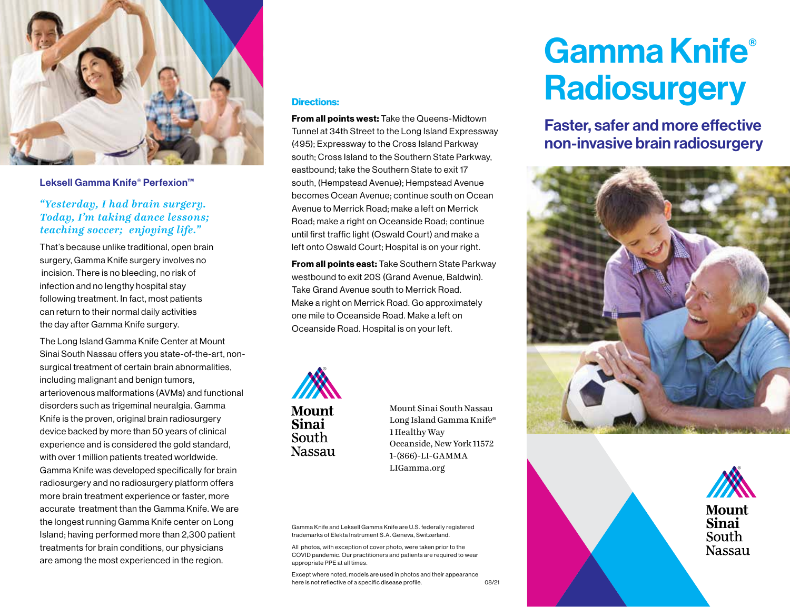

## Leksell Gamma Knife® Perfexion™

# *"Yesterday, I had brain surgery. Today, I'm taking dance lessons; teaching soccer; enjoying life."*

That's because unlike traditional, open brain surgery, Gamma Knife surgery involves no incision. There is no bleeding, no risk of infection and no lengthy hospital stay following treatment. In fact, most patients can return to their normal daily activities the day after Gamma Knife surgery.

The Long Island Gamma Knife Center at Mount Sinai South Nassau offers you state-of-the-art, nonsurgical treatment of certain brain abnormalities, including malignant and benign tumors, arteriovenous malformations (AVMs) and functional disorders such as trigeminal neuralgia. Gamma Knife is the proven, original brain radiosurgery device backed by more than 50 years of clinical experience and is considered the gold standard, with over 1 million patients treated worldwide. Gamma Knife was developed specifically for brain radiosurgery and no radiosurgery platform offers more brain treatment experience or faster, more accurate treatment than the Gamma Knife. We are the longest running Gamma Knife center on Long Island; having performed more than 2,300 patient treatments for brain conditions, our physicians are among the most experienced in the region.

#### Directions:

**From all points west: Take the Queens-Midtown** Tunnel at 34th Street to the Long Island Expressway (495); Expressway to the Cross Island Parkway south; Cross Island to the Southern State Parkway, eastbound; take the Southern State to exit 17 south, (Hempstead Avenue); Hempstead Avenue becomes Ocean Avenue; continue south on Ocean Avenue to Merrick Road; make a left on Merrick Road; make a right on Oceanside Road; continue until first traffic light (Oswald Court) and make a left onto Oswald Court; Hospital is on your right.

From all points east: Take Southern State Parkway westbound to exit 20S (Grand Avenue, Baldwin). Take Grand Avenue south to Merrick Road. Make a right on Merrick Road. Go approximately one mile to Oceanside Road. Make a left on Oceanside Road. Hospital is on your left.



Mount Sinai South Nassau Long Island Gamma Knife® 1 Healthy Way Oceanside, New York 11572 1-(866)-LI-GAMMA LIGamma.org

Gamma Knife and Leksell Gamma Knife are U.S. federally registered trademarks of Elekta Instrument S.A. Geneva, Switzerland.

All photos, with exception of cover photo, were taken prior to the COVID pandemic. Our practitioners and patients are required to wear appropriate PPE at all times.

08/21 Except where noted, models are used in photos and their appearance here is not reflective of a specific disease profile.

# Gamma Knife® **Radiosurgery**

Faster, safer and more effective non-invasive brain radiosurgery